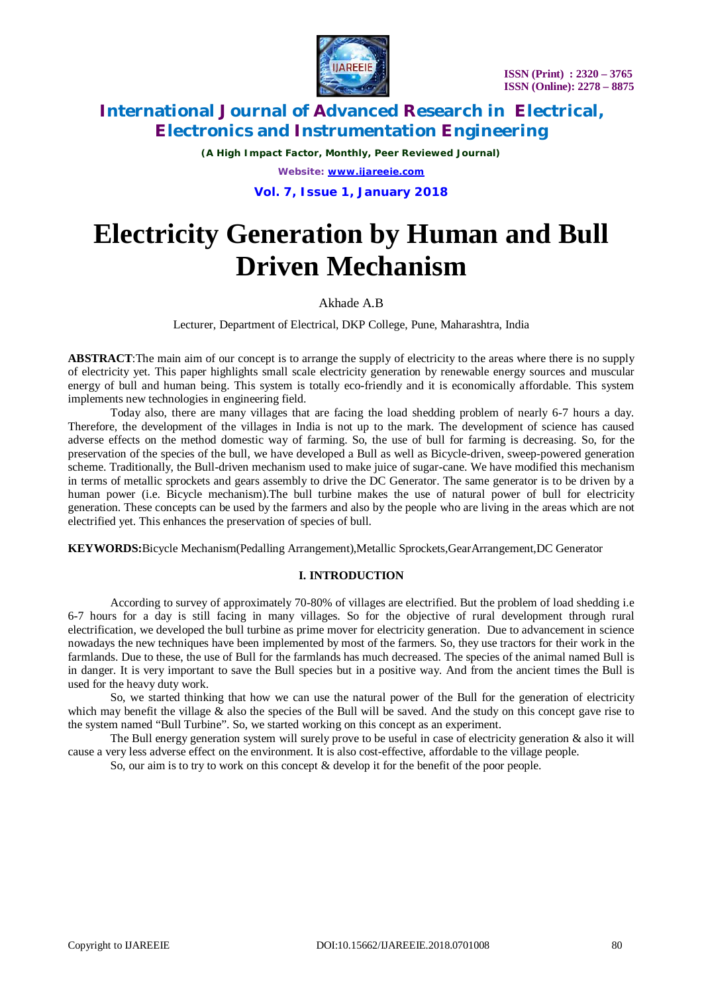

*(A High Impact Factor, Monthly, Peer Reviewed Journal) Website: [www.ijareeie.com](http://www.ijareeie.com)*

**Vol. 7, Issue 1, January 2018**

# **Electricity Generation by Human and Bull Driven Mechanism**

# Akhade A.B

Lecturer, Department of Electrical, DKP College, Pune, Maharashtra, India

**ABSTRACT**:The main aim of our concept is to arrange the supply of electricity to the areas where there is no supply of electricity yet. This paper highlights small scale electricity generation by renewable energy sources and muscular energy of bull and human being. This system is totally eco-friendly and it is economically affordable. This system implements new technologies in engineering field.

Today also, there are many villages that are facing the load shedding problem of nearly 6-7 hours a day. Therefore, the development of the villages in India is not up to the mark. The development of science has caused adverse effects on the method domestic way of farming. So, the use of bull for farming is decreasing. So, for the preservation of the species of the bull, we have developed a Bull as well as Bicycle-driven, sweep-powered generation scheme. Traditionally, the Bull-driven mechanism used to make juice of sugar-cane. We have modified this mechanism in terms of metallic sprockets and gears assembly to drive the DC Generator. The same generator is to be driven by a human power (i.e. Bicycle mechanism).The bull turbine makes the use of natural power of bull for electricity generation. These concepts can be used by the farmers and also by the people who are living in the areas which are not electrified yet. This enhances the preservation of species of bull.

**KEYWORDS:**Bicycle Mechanism(Pedalling Arrangement),Metallic Sprockets,GearArrangement,DC Generator

## **I. INTRODUCTION**

According to survey of approximately 70-80% of villages are electrified. But the problem of load shedding i.e 6-7 hours for a day is still facing in many villages. So for the objective of rural development through rural electrification, we developed the bull turbine as prime mover for electricity generation. Due to advancement in science nowadays the new techniques have been implemented by most of the farmers. So, they use tractors for their work in the farmlands. Due to these, the use of Bull for the farmlands has much decreased. The species of the animal named Bull is in danger. It is very important to save the Bull species but in a positive way. And from the ancient times the Bull is used for the heavy duty work.

So, we started thinking that how we can use the natural power of the Bull for the generation of electricity which may benefit the village  $\&$  also the species of the Bull will be saved. And the study on this concept gave rise to the system named "Bull Turbine". So, we started working on this concept as an experiment.

The Bull energy generation system will surely prove to be useful in case of electricity generation & also it will cause a very less adverse effect on the environment. It is also cost-effective, affordable to the village people.

So, our aim is to try to work on this concept & develop it for the benefit of the poor people.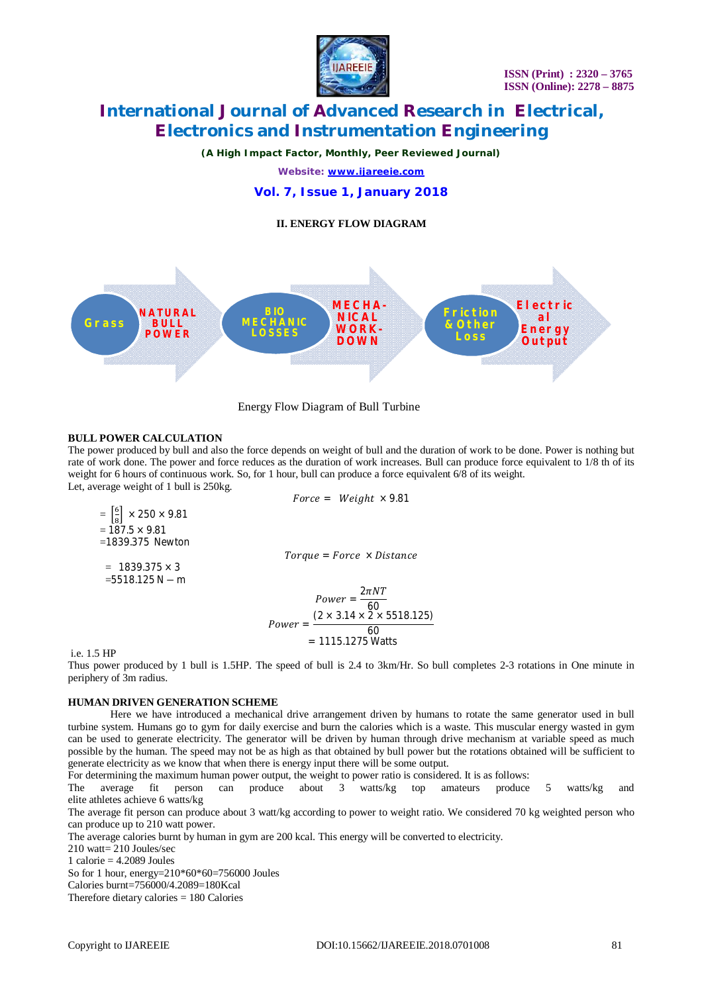

*(A High Impact Factor, Monthly, Peer Reviewed Journal)*

*Website: [www.ijareeie.com](http://www.ijareeie.com)*

**Vol. 7, Issue 1, January 2018**

**II. ENERGY FLOW DIAGRAM**





#### **BULL POWER CALCULATION**

The power produced by bull and also the force depends on weight of bull and the duration of work to be done. Power is nothing but rate of work done. The power and force reduces as the duration of work increases. Bull can produce force equivalent to 1/8 th of its weight for 6 hours of continuous work. So, for 1 hour, bull can produce a force equivalent 6/8 of its weight. Let, average weight of 1 bull is 250kg.

$$
Force = Weight \times 9.81
$$
\n
$$
= \left[\frac{6}{8}\right] \times 250 \times 9.81
$$
\n
$$
= 187.5 \times 9.81
$$
\n
$$
= 1839.375 Newton
$$
\n
$$
= 1839.375 \times 3
$$
\n
$$
= 5518.125 N - m
$$
\nFor the result, we get:

\n
$$
0.8125 N - m
$$
\n
$$
= 1839.375 \times 3
$$
\n
$$
= 5518.125 N - m
$$

$$
Power = \frac{2\pi NT}{60}
$$
  
Power = 
$$
\frac{(2 \times 3.14 \times 2 \times 5518.125)}{60}
$$
  
= 1115.1275 Watts

i.e. 1.5 HP

 $=$ 

Thus power produced by 1 bull is 1.5HP. The speed of bull is 2.4 to 3km/Hr. So bull completes 2-3 rotations in One minute in periphery of 3m radius.

#### **HUMAN DRIVEN GENERATION SCHEME**

Here we have introduced a mechanical drive arrangement driven by humans to rotate the same generator used in bull turbine system. Humans go to gym for daily exercise and burn the calories which is a waste. This muscular energy wasted in gym can be used to generate electricity. The generator will be driven by human through drive mechanism at variable speed as much possible by the human. The speed may not be as high as that obtained by bull power but the rotations obtained will be sufficient to generate electricity as we know that when there is energy input there will be some output.

For determining the maximum human power output, the weight to power ratio is considered. It is as follows:

The average fit person can produce about 3 watts/kg top amateurs produce 5 watts/kg and elite athletes achieve 6 watts/kg

The average fit person can produce about 3 watt/kg according to power to weight ratio. We considered 70 kg weighted person who can produce up to 210 watt power.

The average calories burnt by human in gym are 200 kcal. This energy will be converted to electricity.

210 watt= 210 Joules/sec

1 calorie  $= 4.2089$  Joules

So for 1 hour, energy=210\*60\*60=756000 Joules

Calories burnt=756000/4.2089=180Kcal

Therefore dietary calories  $= 180$  Calories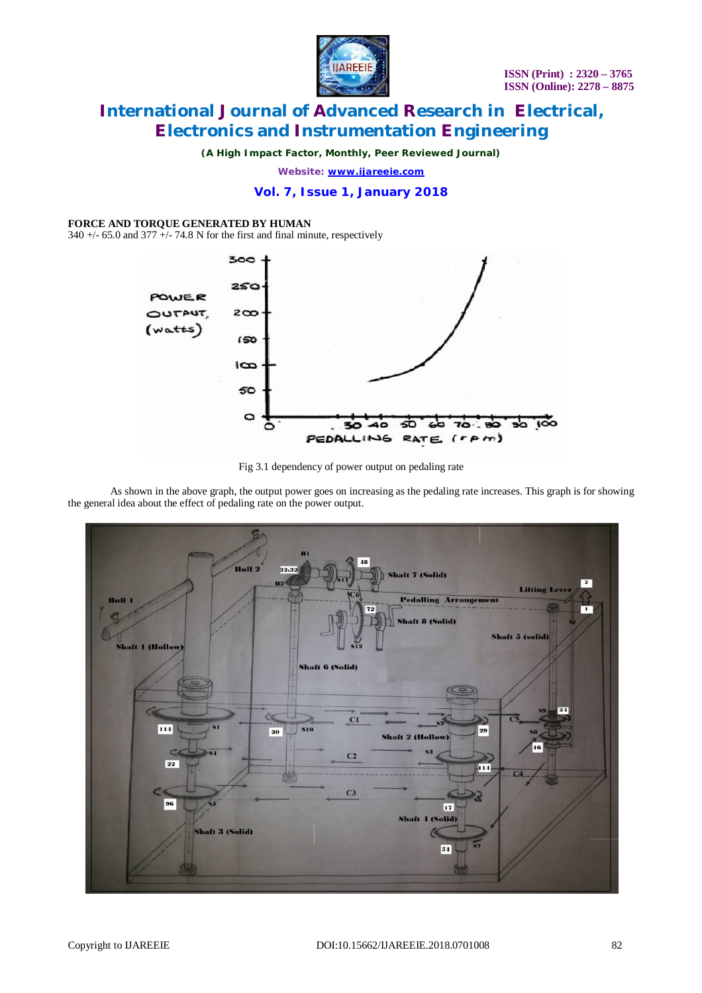

*(A High Impact Factor, Monthly, Peer Reviewed Journal)*

*Website: [www.ijareeie.com](http://www.ijareeie.com)*

## **Vol. 7, Issue 1, January 2018**

#### **FORCE AND TORQUE GENERATED BY HUMAN**

 $340 +$  -65.0 and  $377 +$  -74.8 N for the first and final minute, respectively



Fig 3.1 dependency of power output on pedaling rate

As shown in the above graph, the output power goes on increasing as the pedaling rate increases. This graph is for showing the general idea about the effect of pedaling rate on the power output.